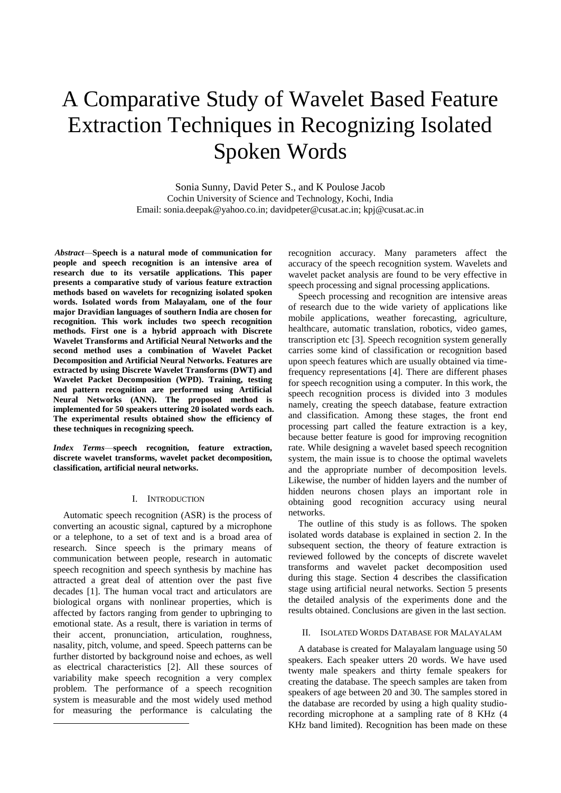# A Comparative Study of Wavelet Based Feature Extraction Techniques in Recognizing Isolated Spoken Words

Sonia Sunny, David Peter S., and K Poulose Jacob Cochin University of Science and Technology, Kochi, India Email: [sonia.deepak@yahoo.co.in;](mailto:sonia.deepak@yahoo.co.in) davidpeter@cusat.ac.in; kpj@cusat.ac.in

*Abstract*—**Speech is a natural mode of communication for people and speech recognition is an intensive area of research due to its versatile applications. This paper presents a comparative study of various feature extraction methods based on wavelets for recognizing isolated spoken words. Isolated words from Malayalam, one of the four major Dravidian languages of southern India are chosen for recognition. This work includes two speech recognition methods. First one is a hybrid approach with Discrete Wavelet Transforms and Artificial Neural Networks and the second method uses a combination of Wavelet Packet Decomposition and Artificial Neural Networks. Features are extracted by using Discrete Wavelet Transforms (DWT) and Wavelet Packet Decomposition (WPD). Training, testing and pattern recognition are performed using Artificial Neural Networks (ANN). The proposed method is implemented for 50 speakers uttering 20 isolated words each. The experimental results obtained show the efficiency of these techniques in recognizing speech.**

*Index Terms*—**speech recognition, feature extraction, discrete wavelet transforms, wavelet packet decomposition, classification, artificial neural networks.**

## I. INTRODUCTION

Automatic speech recognition (ASR) is the process of converting an acoustic signal, captured by a microphone or a telephone, to a set of text and is a broad area of research. Since speech is the primary means of communication between people, research in automatic speech recognition and speech synthesis by machine has attracted a great deal of attention over the past five decades [1]. The human vocal tract and articulators are biological organs with nonlinear properties, which is affected by factors ranging from gender to upbringing to emotional state. As a result, there is variation in terms of their accent, pronunciation, articulation, roughness, nasality, pitch, volume, and speed. Speech patterns can be further distorted by background noise and echoes, as well as electrical characteristics [2]. All these sources of variability make speech recognition a very complex problem. The performance of a speech recognition system is measurable and the most widely used method for measuring the performance is calculating the

-

recognition accuracy. Many parameters affect the accuracy of the speech recognition system. Wavelets and wavelet packet analysis are found to be very effective in speech processing and signal processing applications.

Speech processing and recognition are intensive areas of research due to the wide variety of applications like mobile applications, weather forecasting, agriculture, healthcare, automatic translation, robotics, video games, transcription etc [3]. Speech recognition system generally carries some kind of classification or recognition based upon speech features which are usually obtained via timefrequency representations [4]. There are different phases for speech recognition using a computer. In this work, the speech recognition process is divided into 3 modules namely, creating the speech database, feature extraction and classification. Among these stages, the front end processing part called the feature extraction is a key, because better feature is good for improving recognition rate. While designing a wavelet based speech recognition system, the main issue is to choose the optimal wavelets and the appropriate number of decomposition levels. Likewise, the number of hidden layers and the number of hidden neurons chosen plays an important role in obtaining good recognition accuracy using neural networks.

The outline of this study is as follows. The spoken isolated words database is explained in section 2. In the subsequent section, the theory of feature extraction is reviewed followed by the concepts of discrete wavelet transforms and wavelet packet decomposition used during this stage. Section 4 describes the classification stage using artificial neural networks. Section 5 presents the detailed analysis of the experiments done and the results obtained. Conclusions are given in the last section.

# II. ISOLATED WORDS DATABASE FOR MALAYALAM

A database is created for Malayalam language using 50 speakers. Each speaker utters 20 words. We have used twenty male speakers and thirty female speakers for creating the database. The speech samples are taken from speakers of age between 20 and 30. The samples stored in the database are recorded by using a high quality studiorecording microphone at a sampling rate of 8 KHz (4 KHz band limited). Recognition has been made on these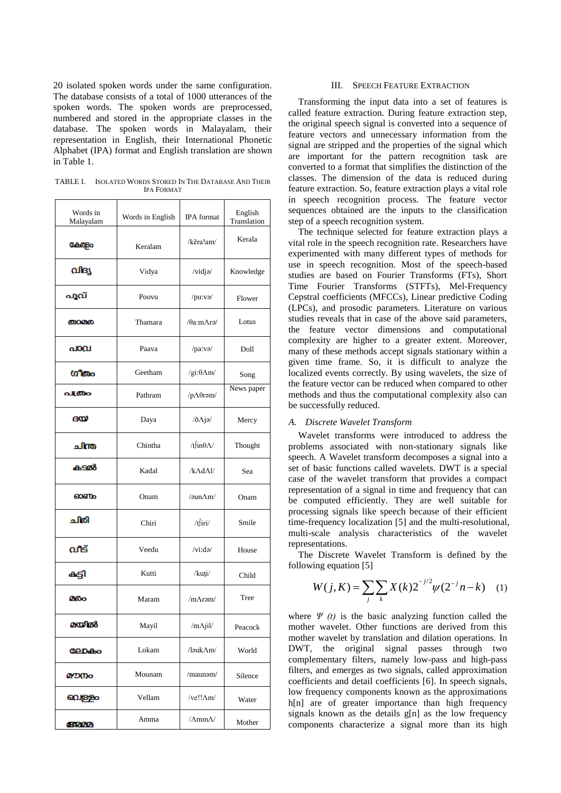20 isolated spoken words under the same configuration. The database consists of a total of 1000 utterances of the spoken words. The spoken words are preprocessed, numbered and stored in the appropriate classes in the database. The spoken words in Malayalam, their representation in English, their International Phonetic Alphabet (IPA) format and English translation are shown in Table 1.

| TABLE I.          | <b>ISOLATED WORDS STORED IN THE DATABASE AND THEIR</b> |  |  |  |
|-------------------|--------------------------------------------------------|--|--|--|
| <b>IPA FORMAT</b> |                                                        |  |  |  |

| Words in<br>Malayalam | Words in English | <b>IPA</b> format               | English<br>Translation |
|-----------------------|------------------|---------------------------------|------------------------|
| കേരളം                 | Keralam          | /kēra!am/                       | Kerala                 |
| വിദ്യ                 | Vidya            | /vidja/                         | Knowledge              |
| എവ്                   | Poovu            | /pu:va/                         | Flower                 |
| താമര                  | Thamara          | /θa:mΛrə/                       | Lotus                  |
| പാവ                   | Paava            | $/pa:v$ a/                      | Doll                   |
| ഗീതം                  | Geetham          | /gi: $\theta\Lambda m/$         | Song                   |
| പ്ത്രം                | Pathram          | /p $\Lambda \theta$ rəm/        | News paper             |
| ദയ                    | Daya             | $\partial \Delta j$ ə/          | Mercy                  |
| ചിന്ത                 | Chintha          | /t $\int$ in $\theta \Lambda$ / | Thought                |
| കടൽ                   | Kadal            | /kAdAl/                         | Sea                    |
| ഓണം                   | Onam             | /aunAm/                         | Onam                   |
| ചിരി                  | Chiri            | $/t$ firi/                      | Smile                  |
| വീട്                  | Veedu            | $\sqrt{vi:}d\omega$             | House                  |
| കട്ടി                 | Kutti            | /kuți/                          | Child                  |
| 0.0o                  | Maram            | /mAram/                         | Tree                   |
| മയിൽ                  | Mayil            | /m $\Delta$ jil/                | Peacock                |
| <b>GAD ADO</b>        | Lokam            | /ləuk $\Lambda$ m/              | World                  |
| മൗനം                  | Mounam           | /maunam/                        | Silence                |
| വെള്ളം                | Vellam           | /ve!! $\Lambda$ m/              | Water                  |
| arazza                | Amma             | $/\Lambda$ mm $\Lambda/$        | Mother                 |

#### III. SPEECH FEATURE EXTRACTION

Transforming the input data into a set of features is called feature extraction. During feature extraction step, the original speech signal is converted into a sequence of feature vectors and unnecessary information from the signal are stripped and the properties of the signal which are important for the pattern recognition task are converted to a format that simplifies the distinction of the classes. The dimension of the data is reduced during feature extraction. So, feature extraction plays a vital role in speech recognition process. The feature vector sequences obtained are the inputs to the classification step of a speech recognition system.

The technique selected for feature extraction plays a vital role in the speech recognition rate. Researchers have experimented with many different types of methods for use in speech recognition. Most of the speech-based studies are based on Fourier Transforms (FTs), Short Time Fourier Transforms (STFTs), Mel-Frequency Cepstral coefficients (MFCCs), Linear predictive Coding (LPCs), and prosodic parameters. Literature on various studies reveals that in case of the above said parameters, the feature vector dimensions and computational complexity are higher to a greater extent. Moreover, many of these methods accept signals stationary within a given time frame. So, it is difficult to analyze the localized events correctly. By using wavelets, the size of the feature vector can be reduced when compared to other methods and thus the computational complexity also can be successfully reduced.

### *A. Discrete Wavelet Transform*

Wavelet transforms were introduced to address the problems associated with non-stationary signals like speech. A Wavelet transform decomposes a signal into a set of basic functions called wavelets. DWT is a special case of the wavelet transform that provides a compact representation of a signal in time and frequency that can be computed efficiently. They are well suitable for processing signals like speech because of their efficient time-frequency localization [5] and the multi-resolutional, multi-scale analysis characteristics of the wavelet representations.

The Discrete Wavelet Transform is defined by the following equation [5]

$$
W(j, K) = \sum_{j} \sum_{k} X(k) 2^{-j/2} \psi(2^{-j} n - k)
$$
 (1)

where  $\Psi(t)$  is the basic analyzing function called the mother wavelet. Other functions are derived from this mother wavelet by translation and dilation operations. In DWT, the original signal passes through two complementary filters, namely low-pass and high-pass filters, and emerges as two signals, called approximation coefficients and detail coefficients [6]. In speech signals, low frequency components known as the approximations h[n] are of greater importance than high frequency signals known as the details g[n] as the low frequency components characterize a signal more than its high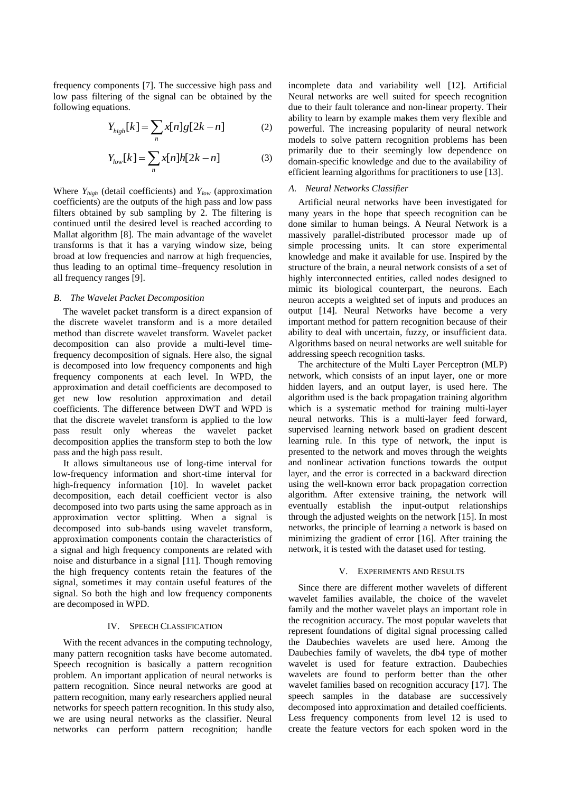frequency components [7]. The successive high pass and low pass filtering of the signal can be obtained by the following equations.

$$
Y_{high}[k] = \sum_{n} x[n]g[2k - n] \tag{2}
$$

$$
Y_{low}[k] = \sum_{n} x[n]h[2k - n]
$$
 (3)

Where *Yhigh* (detail coefficients) and *Ylow* (approximation coefficients) are the outputs of the high pass and low pass filters obtained by sub sampling by 2. The filtering is continued until the desired level is reached according to Mallat algorithm [8]. The main advantage of the wavelet transforms is that it has a varying window size, being broad at low frequencies and narrow at high frequencies, thus leading to an optimal time–frequency resolution in all frequency ranges [9].

#### *B. The Wavelet Packet Decomposition*

The wavelet packet transform is a direct expansion of the discrete wavelet transform and is a more detailed method than discrete wavelet transform. Wavelet packet decomposition can also provide a multi-level timefrequency decomposition of signals. Here also, the signal is decomposed into low frequency components and high frequency components at each level. In WPD, the approximation and detail coefficients are decomposed to get new low resolution approximation and detail coefficients. The difference between DWT and WPD is that the discrete wavelet transform is applied to the low pass result only whereas the wavelet packet decomposition applies the transform step to both the low pass and the high pass result.

It allows simultaneous use of long-time interval for low-frequency information and short-time interval for high-frequency information [10]. In wavelet packet decomposition, each detail coefficient vector is also decomposed into two parts using the same approach as in approximation vector splitting. When a signal is decomposed into sub-bands using wavelet transform, approximation components contain the characteristics of a signal and high frequency components are related with noise and disturbance in a signal [11]. Though removing the high frequency contents retain the features of the signal, sometimes it may contain useful features of the signal. So both the high and low frequency components are decomposed in WPD.

### IV. SPEECH CLASSIFICATION

With the recent advances in the computing technology, many pattern recognition tasks have become automated. Speech recognition is basically a pattern recognition problem. An important application of neural networks is pattern recognition. Since neural networks are good at pattern recognition, many early researchers applied neural networks for speech pattern recognition. In this study also, we are using neural networks as the classifier. Neural networks can perform pattern recognition; handle

incomplete data and variability well [12]. Artificial Neural networks are well suited for speech recognition due to their fault tolerance and non-linear property. Their ability to learn by example makes them very flexible and powerful. The increasing popularity of neural network models to solve pattern recognition problems has been primarily due to their seemingly low dependence on domain-specific knowledge and due to the availability of efficient learning algorithms for practitioners to use [13].

#### *A. Neural Networks Classifier*

Artificial neural networks have been investigated for many years in the hope that speech recognition can be done similar to human beings. A Neural Network is a massively parallel-distributed processor made up of simple processing units. It can store experimental knowledge and make it available for use. Inspired by the structure of the brain, a neural network consists of a set of highly interconnected entities, called nodes designed to mimic its biological counterpart, the neurons. Each neuron accepts a weighted set of inputs and produces an output [14]. Neural Networks have become a very important method for pattern recognition because of their ability to deal with uncertain, fuzzy, or insufficient data. Algorithms based on neural networks are well suitable for addressing speech recognition tasks.

The architecture of the Multi Layer Perceptron (MLP) network, which consists of an input layer, one or more hidden layers, and an output layer, is used here. The algorithm used is the back propagation training algorithm which is a systematic method for training multi-layer neural networks. This is a multi-layer feed forward, supervised learning network based on gradient descent learning rule. In this type of network, the input is presented to the network and moves through the weights and nonlinear activation functions towards the output layer, and the error is corrected in a backward direction using the well-known error back propagation correction algorithm. After extensive training, the network will eventually establish the input-output relationships through the adjusted weights on the network [15]. In most networks, the principle of learning a network is based on minimizing the gradient of error [16]. After training the network, it is tested with the dataset used for testing.

### V. EXPERIMENTS AND RESULTS

Since there are different mother wavelets of different wavelet families available, the choice of the wavelet family and the mother wavelet plays an important role in the recognition accuracy. The most popular wavelets that represent foundations of digital signal processing called the Daubechies wavelets are used here. Among the Daubechies family of wavelets, the db4 type of mother wavelet is used for feature extraction. Daubechies wavelets are found to perform better than the other wavelet families based on recognition accuracy [17]. The speech samples in the database are successively decomposed into approximation and detailed coefficients. Less frequency components from level 12 is used to create the feature vectors for each spoken word in the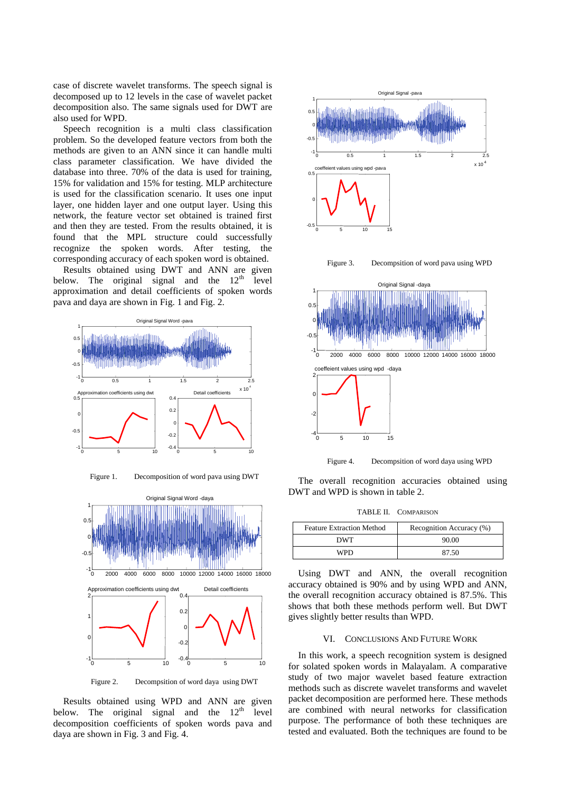case of discrete wavelet transforms. The speech signal is decomposed up to 12 levels in the case of wavelet packet decomposition also. The same signals used for DWT are also used for WPD.

Speech recognition is a multi class classification problem. So the developed feature vectors from both the methods are given to an ANN since it can handle multi class parameter classification. We have divided the database into three. 70% of the data is used for training, 15% for validation and 15% for testing. MLP architecture is used for the classification scenario. It uses one input layer, one hidden layer and one output layer. Using this network, the feature vector set obtained is trained first and then they are tested. From the results obtained, it is found that the MPL structure could successfully recognize the spoken words. After testing, the corresponding accuracy of each spoken word is obtained.

Results obtained using DWT and ANN are given below. The original signal and the  $12<sup>th</sup>$  level approximation and detail coefficients of spoken words pava and daya are shown in Fig. 1 and Fig. 2.



Figure 1. Decomposition of word pava using DWT



Figure 2. Decompsition of word daya using DWT

Results obtained using WPD and ANN are given below. The original signal and the  $12<sup>th</sup>$  level decomposition coefficients of spoken words pava and daya are shown in Fig. 3 and Fig. 4.



Figure 4. Decompsition of word daya using WPD

The overall recognition accuracies obtained using DWT and WPD is shown in table 2.

TABLE II. COMPARISON

| <b>Feature Extraction Method</b> | Recognition Accuracy (%) |
|----------------------------------|--------------------------|
| <b>DWT</b>                       | 90.00                    |
| WPD                              | 87.50                    |

Using DWT and ANN, the overall recognition accuracy obtained is 90% and by using WPD and ANN, the overall recognition accuracy obtained is 87.5%. This shows that both these methods perform well. But DWT gives slightly better results than WPD.

### VI. CONCLUSIONS AND FUTURE WORK

In this work, a speech recognition system is designed for solated spoken words in Malayalam. A comparative study of two major wavelet based feature extraction methods such as discrete wavelet transforms and wavelet packet decomposition are performed here. These methods are combined with neural networks for classification purpose. The performance of both these techniques are tested and evaluated. Both the techniques are found to be